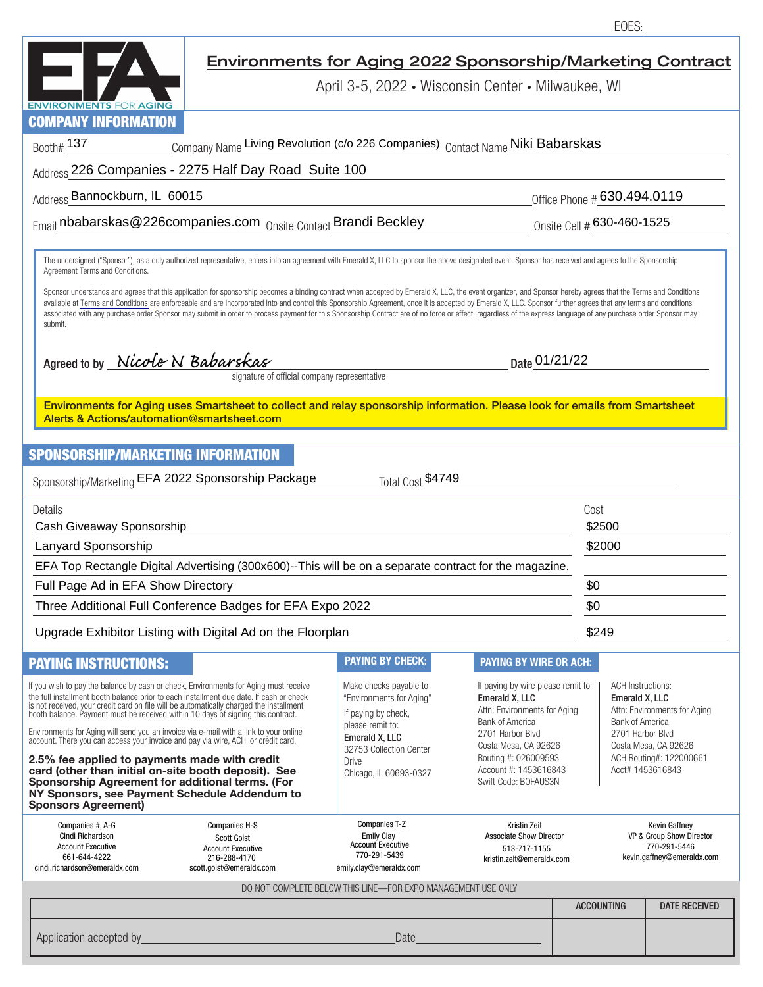|                                                                                                                                                                                                                                                                                                                                                                                                                                                                                                                                                                                                                                                                | Environments for Aging 2022 Sponsorship/Marketing Contract                                    |                                                                                                                                                                                                                                                                                                                                                  |                                                                                             |                                                                                         |                                                                                                                                                                                    |                      |  |  |  |
|----------------------------------------------------------------------------------------------------------------------------------------------------------------------------------------------------------------------------------------------------------------------------------------------------------------------------------------------------------------------------------------------------------------------------------------------------------------------------------------------------------------------------------------------------------------------------------------------------------------------------------------------------------------|-----------------------------------------------------------------------------------------------|--------------------------------------------------------------------------------------------------------------------------------------------------------------------------------------------------------------------------------------------------------------------------------------------------------------------------------------------------|---------------------------------------------------------------------------------------------|-----------------------------------------------------------------------------------------|------------------------------------------------------------------------------------------------------------------------------------------------------------------------------------|----------------------|--|--|--|
| <b>ENVIRONMENTS FOR AGING</b>                                                                                                                                                                                                                                                                                                                                                                                                                                                                                                                                                                                                                                  | April 3-5, 2022 • Wisconsin Center • Milwaukee, WI                                            |                                                                                                                                                                                                                                                                                                                                                  |                                                                                             |                                                                                         |                                                                                                                                                                                    |                      |  |  |  |
| <b>COMPANY INFORMATION</b>                                                                                                                                                                                                                                                                                                                                                                                                                                                                                                                                                                                                                                     |                                                                                               |                                                                                                                                                                                                                                                                                                                                                  |                                                                                             |                                                                                         |                                                                                                                                                                                    |                      |  |  |  |
| Company Name Living Revolution (c/o 226 Companies) Contact Name Niki Babarskas<br>Booth# 137                                                                                                                                                                                                                                                                                                                                                                                                                                                                                                                                                                   |                                                                                               |                                                                                                                                                                                                                                                                                                                                                  |                                                                                             |                                                                                         |                                                                                                                                                                                    |                      |  |  |  |
| Address 226 Companies - 2275 Half Day Road Suite 100                                                                                                                                                                                                                                                                                                                                                                                                                                                                                                                                                                                                           |                                                                                               |                                                                                                                                                                                                                                                                                                                                                  |                                                                                             |                                                                                         |                                                                                                                                                                                    |                      |  |  |  |
| Address Bannockburn, IL 60015                                                                                                                                                                                                                                                                                                                                                                                                                                                                                                                                                                                                                                  |                                                                                               |                                                                                                                                                                                                                                                                                                                                                  |                                                                                             | Office Phone #630.494.0119                                                              |                                                                                                                                                                                    |                      |  |  |  |
|                                                                                                                                                                                                                                                                                                                                                                                                                                                                                                                                                                                                                                                                | Email nbabarskas@226companies.com Onsite Contact Brandi Beckley<br>Onsite Cell # 630-460-1525 |                                                                                                                                                                                                                                                                                                                                                  |                                                                                             |                                                                                         |                                                                                                                                                                                    |                      |  |  |  |
| The undersigned ("Sponsor"), as a duly authorized representative, enters into an agreement with Emerald X, LLC to sponsor the above designated event. Sponsor has received and agrees to the Sponsorship<br>Agreement Terms and Conditions.                                                                                                                                                                                                                                                                                                                                                                                                                    |                                                                                               |                                                                                                                                                                                                                                                                                                                                                  |                                                                                             |                                                                                         |                                                                                                                                                                                    |                      |  |  |  |
| Sponsor understands and agrees that this application for sponsorship becomes a binding contract when accepted by Emerald X, LLC, the event organizer, and Sponsor hereby agrees that the Terms and Conditions<br>available at Terms and Conditions are enforceable and are incorporated into and control this Sponsorship Agreement, once it is accepted by Emerald X, LLC. Sponsor further agrees that any terms and conditions<br>associated with any purchase order Sponsor may submit in order to process payment for this Sponsorship Contract are of no force or effect, regardless of the express language of any purchase order Sponsor may<br>submit. |                                                                                               |                                                                                                                                                                                                                                                                                                                                                  |                                                                                             |                                                                                         |                                                                                                                                                                                    |                      |  |  |  |
| Agreed to by Nicole N Babarskas<br>Date 01/21/22<br>signature of official company representative                                                                                                                                                                                                                                                                                                                                                                                                                                                                                                                                                               |                                                                                               |                                                                                                                                                                                                                                                                                                                                                  |                                                                                             |                                                                                         |                                                                                                                                                                                    |                      |  |  |  |
| Environments for Aging uses Smartsheet to collect and relay sponsorship information. Please look for emails from Smartsheet<br>Alerts & Actions/automation@smartsheet.com                                                                                                                                                                                                                                                                                                                                                                                                                                                                                      |                                                                                               |                                                                                                                                                                                                                                                                                                                                                  |                                                                                             |                                                                                         |                                                                                                                                                                                    |                      |  |  |  |
| <b>SPONSORSHIP/MARKETING INFORMATION</b>                                                                                                                                                                                                                                                                                                                                                                                                                                                                                                                                                                                                                       |                                                                                               |                                                                                                                                                                                                                                                                                                                                                  |                                                                                             |                                                                                         |                                                                                                                                                                                    |                      |  |  |  |
| Sponsorship/Marketing EFA 2022 Sponsorship Package<br>Total Cost \$4749                                                                                                                                                                                                                                                                                                                                                                                                                                                                                                                                                                                        |                                                                                               |                                                                                                                                                                                                                                                                                                                                                  |                                                                                             |                                                                                         |                                                                                                                                                                                    |                      |  |  |  |
| Details<br>Cash Giveaway Sponsorship                                                                                                                                                                                                                                                                                                                                                                                                                                                                                                                                                                                                                           |                                                                                               |                                                                                                                                                                                                                                                                                                                                                  |                                                                                             |                                                                                         | Cost<br>\$2500                                                                                                                                                                     |                      |  |  |  |
| Lanyard Sponsorship                                                                                                                                                                                                                                                                                                                                                                                                                                                                                                                                                                                                                                            |                                                                                               |                                                                                                                                                                                                                                                                                                                                                  |                                                                                             |                                                                                         | \$2000                                                                                                                                                                             |                      |  |  |  |
| EFA Top Rectangle Digital Advertising (300x600)--This will be on a separate contract for the magazine.                                                                                                                                                                                                                                                                                                                                                                                                                                                                                                                                                         |                                                                                               |                                                                                                                                                                                                                                                                                                                                                  |                                                                                             |                                                                                         |                                                                                                                                                                                    |                      |  |  |  |
| Full Page Ad in EFA Show Directory                                                                                                                                                                                                                                                                                                                                                                                                                                                                                                                                                                                                                             |                                                                                               |                                                                                                                                                                                                                                                                                                                                                  |                                                                                             |                                                                                         | \$0                                                                                                                                                                                |                      |  |  |  |
| Three Additional Full Conference Badges for EFA Expo 2022                                                                                                                                                                                                                                                                                                                                                                                                                                                                                                                                                                                                      |                                                                                               |                                                                                                                                                                                                                                                                                                                                                  |                                                                                             |                                                                                         | \$0                                                                                                                                                                                |                      |  |  |  |
| Upgrade Exhibitor Listing with Digital Ad on the Floorplan                                                                                                                                                                                                                                                                                                                                                                                                                                                                                                                                                                                                     |                                                                                               |                                                                                                                                                                                                                                                                                                                                                  |                                                                                             |                                                                                         | \$249                                                                                                                                                                              |                      |  |  |  |
| <b>PAYING INSTRUCTIONS:</b>                                                                                                                                                                                                                                                                                                                                                                                                                                                                                                                                                                                                                                    |                                                                                               | <b>PAYING BY CHECK:</b>                                                                                                                                                                                                                                                                                                                          | <b>PAYING BY WIRE OR ACH:</b>                                                               |                                                                                         |                                                                                                                                                                                    |                      |  |  |  |
| If you wish to pay the balance by cash or check, Environments for Aging must receive<br>the full installment booth balance prior to each installment due date. If cash or check<br>is not received, your credit card on file will be automatically charged the installment<br>booth balance. Payment must be received within 10 days of signing this contract.<br>Environments for Aging will send you an invoice via e-mail with a link to your online                                                                                                                                                                                                        |                                                                                               | Make checks payable to<br>If paying by wire please remit to:<br>"Environments for Aging"<br>Emerald X, LLC<br>Attn: Environments for Aging<br>If paying by check,<br><b>Bank of America</b><br>please remit to:<br>2701 Harbor Blvd<br>Emerald X, LLC<br>Costa Mesa, CA 92626<br>32753 Collection Center<br>Routing #: 026009593<br><b>Drive</b> |                                                                                             |                                                                                         | <b>ACH Instructions:</b><br><b>Emerald X. LLC</b><br>Attn: Environments for Aging<br><b>Bank of America</b><br>2701 Harbor Blvd<br>Costa Mesa, CA 92626<br>ACH Routing#: 122000661 |                      |  |  |  |
| account. There you can access your invoice and pay via wire, ACH, or credit card.<br>2.5% fee applied to payments made with credit                                                                                                                                                                                                                                                                                                                                                                                                                                                                                                                             |                                                                                               |                                                                                                                                                                                                                                                                                                                                                  |                                                                                             |                                                                                         |                                                                                                                                                                                    |                      |  |  |  |
| card (other than initial on-site booth deposit). See<br>Sponsorship Agreement for additional terms. (For<br>NY Sponsors, see Payment Schedule Addendum to<br><b>Sponsors Agreement)</b>                                                                                                                                                                                                                                                                                                                                                                                                                                                                        |                                                                                               | Chicago, IL 60693-0327                                                                                                                                                                                                                                                                                                                           | Account #: 1453616843<br>Swift Code: BOFAUS3N                                               |                                                                                         |                                                                                                                                                                                    | Acct# 1453616843     |  |  |  |
| Companies #, A-G<br>Companies H-S<br>Cindi Richardson<br><b>Scott Goist</b><br><b>Account Executive</b><br><b>Account Executive</b><br>661-644-4222<br>216-288-4170<br>cindi.richardson@emeraldx.com<br>scott.goist@emeraldx.com                                                                                                                                                                                                                                                                                                                                                                                                                               |                                                                                               | Companies T-Z<br><b>Emily Clay</b><br><b>Account Executive</b><br>770-291-5439<br>emily.clay@emeraldx.com                                                                                                                                                                                                                                        | Kristin Zeit<br><b>Associate Show Director</b><br>513-717-1155<br>kristin.zeit@emeraldx.com | Kevin Gaffney<br>VP & Group Show Director<br>770-291-5446<br>kevin.gaffney@emeraldx.com |                                                                                                                                                                                    |                      |  |  |  |
| DO NOT COMPLETE BELOW THIS LINE-FOR EXPO MANAGEMENT USE ONLY                                                                                                                                                                                                                                                                                                                                                                                                                                                                                                                                                                                                   |                                                                                               |                                                                                                                                                                                                                                                                                                                                                  |                                                                                             |                                                                                         |                                                                                                                                                                                    |                      |  |  |  |
|                                                                                                                                                                                                                                                                                                                                                                                                                                                                                                                                                                                                                                                                |                                                                                               |                                                                                                                                                                                                                                                                                                                                                  |                                                                                             | <b>ACCOUNTING</b>                                                                       |                                                                                                                                                                                    | <b>DATE RECEIVED</b> |  |  |  |
| Application accepted by                                                                                                                                                                                                                                                                                                                                                                                                                                                                                                                                                                                                                                        |                                                                                               | Date                                                                                                                                                                                                                                                                                                                                             |                                                                                             |                                                                                         |                                                                                                                                                                                    |                      |  |  |  |

EOES: